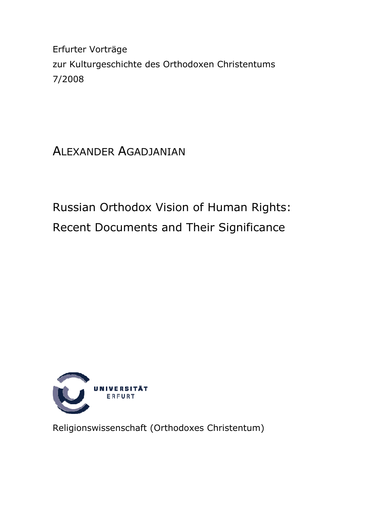Erfurter Vorträge zur Kulturgeschichte des Orthodoxen Christentums 7/2008

# ALEXANDER AGADJANIAN

Russian Orthodox Vision of Human Rights: Recent Documents and Their Significance



Religionswissenschaft (Orthodoxes Christentum)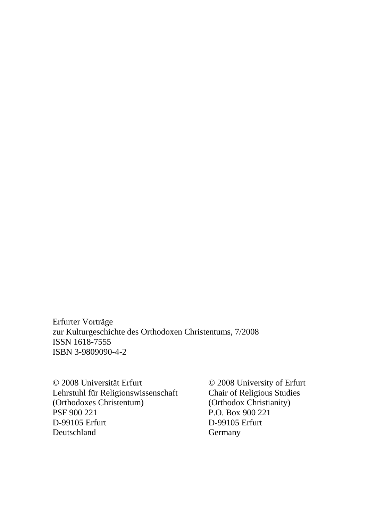Erfurter Vorträge zur Kulturgeschichte des Orthodoxen Christentums, 7/2008 ISSN 1618-7555 ISBN 3-9809090-4-2

© 2008 Universität Erfurt © 2008 University of Erfurt Lehrstuhl für Religionswissenschaft<br>(Orthodoxes Christentum) (Orthodoxes Christentum) (Orthodox Christianity)<br>
PSF 900 221<br>
P.O. Box 900 221 D-99105 Erfurt D-99105 Erfurt Deutschland Germany

P.O. Box 900 221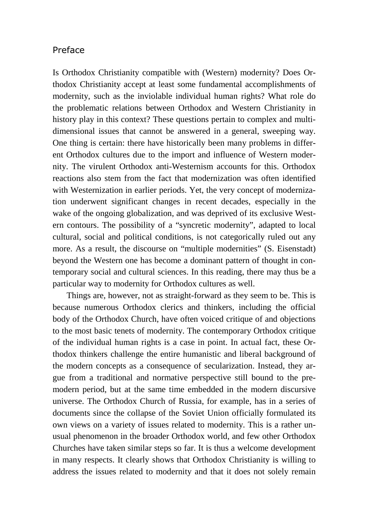#### Preface

Is Orthodox Christianity compatible with (Western) modernity? Does Orthodox Christianity accept at least some fundamental accomplishments of modernity, such as the inviolable individual human rights? What role do the problematic relations between Orthodox and Western Christianity in history play in this context? These questions pertain to complex and multidimensional issues that cannot be answered in a general, sweeping way. One thing is certain: there have historically been many problems in different Orthodox cultures due to the import and influence of Western modernity. The virulent Orthodox anti-Westernism accounts for this. Orthodox reactions also stem from the fact that modernization was often identified with Westernization in earlier periods. Yet, the very concept of modernization underwent significant changes in recent decades, especially in the wake of the ongoing globalization, and was deprived of its exclusive Western contours. The possibility of a "syncretic modernity", adapted to local cultural, social and political conditions, is not categorically ruled out any more. As a result, the discourse on "multiple modernities" (S. Eisenstadt) beyond the Western one has become a dominant pattern of thought in contemporary social and cultural sciences. In this reading, there may thus be a particular way to modernity for Orthodox cultures as well.

Things are, however, not as straight-forward as they seem to be. This is because numerous Orthodox clerics and thinkers, including the official body of the Orthodox Church, have often voiced critique of and objections to the most basic tenets of modernity. The contemporary Orthodox critique of the individual human rights is a case in point. In actual fact, these Orthodox thinkers challenge the entire humanistic and liberal background of the modern concepts as a consequence of secularization. Instead, they argue from a traditional and normative perspective still bound to the premodern period, but at the same time embedded in the modern discursive universe. The Orthodox Church of Russia, for example, has in a series of documents since the collapse of the Soviet Union officially formulated its own views on a variety of issues related to modernity. This is a rather unusual phenomenon in the broader Orthodox world, and few other Orthodox Churches have taken similar steps so far. It is thus a welcome development in many respects. It clearly shows that Orthodox Christianity is willing to address the issues related to modernity and that it does not solely remain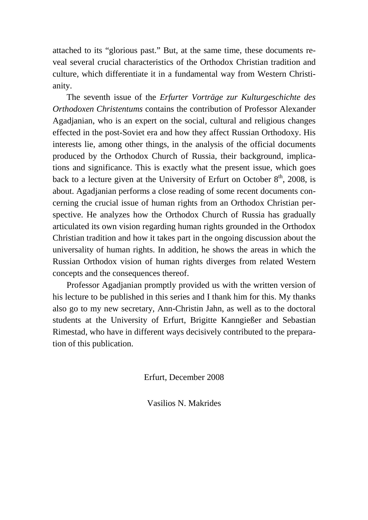attached to its "glorious past." But, at the same time, these documents reveal several crucial characteristics of the Orthodox Christian tradition and culture, which differentiate it in a fundamental way from Western Christianity.

The seventh issue of the *Erfurter Vorträge zur Kulturgeschichte des Orthodoxen Christentums* contains the contribution of Professor Alexander Agadjanian, who is an expert on the social, cultural and religious changes effected in the post-Soviet era and how they affect Russian Orthodoxy. His interests lie, among other things, in the analysis of the official documents produced by the Orthodox Church of Russia, their background, implications and significance. This is exactly what the present issue, which goes back to a lecture given at the University of Erfurt on October  $8<sup>th</sup>$ , 2008, is about. Agadjanian performs a close reading of some recent documents concerning the crucial issue of human rights from an Orthodox Christian perspective. He analyzes how the Orthodox Church of Russia has gradually articulated its own vision regarding human rights grounded in the Orthodox Christian tradition and how it takes part in the ongoing discussion about the universality of human rights. In addition, he shows the areas in which the Russian Orthodox vision of human rights diverges from related Western concepts and the consequences thereof.

Professor Agadjanian promptly provided us with the written version of his lecture to be published in this series and I thank him for this. My thanks also go to my new secretary, Ann-Christin Jahn, as well as to the doctoral students at the University of Erfurt, Brigitte Kanngießer and Sebastian Rimestad, who have in different ways decisively contributed to the preparation of this publication.

Erfurt, December 2008

Vasilios N. Makrides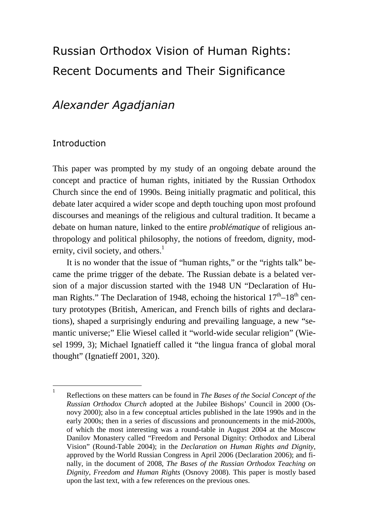# Russian Orthodox Vision of Human Rights: Recent Documents and Their Significance

# Alexander Agadjanian

### **Introduction**

This paper was prompted by my study of an ongoing debate around the concept and practice of human rights, initiated by the Russian Orthodox Church since the end of 1990s. Being initially pragmatic and political, this debate later acquired a wider scope and depth touching upon most profound discourses and meanings of the religious and cultural tradition. It became a debate on human nature, linked to the entire *problématique* of religious anthropology and political philosophy, the notions of freedom, dignity, modernity, civil society, and others. $<sup>1</sup>$ </sup>

It is no wonder that the issue of "human rights," or the "rights talk" became the prime trigger of the debate. The Russian debate is a belated version of a major discussion started with the 1948 UN "Declaration of Human Rights." The Declaration of 1948, echoing the historical  $17<sup>th</sup>-18<sup>th</sup>$  century prototypes (British, American, and French bills of rights and declarations), shaped a surprisingly enduring and prevailing language, a new "semantic universe;" Elie Wiesel called it "world-wide secular religion" (Wiesel 1999, 3); Michael Ignatieff called it "the lingua franca of global moral thought" (Ignatieff 2001, 320).

 $\frac{1}{1}$ Reflections on these matters can be found in *The Bases of the Social Concept of the Russian Orthodox Church* adopted at the Jubilee Bishops' Council in 2000 (Osnovy 2000); also in a few conceptual articles published in the late 1990s and in the early 2000s; then in a series of discussions and pronouncements in the mid-2000s, of which the most interesting was a round-table in August 2004 at the Moscow Danilov Monastery called "Freedom and Personal Dignity: Orthodox and Liberal Vision" (Round-Table 2004); in the *Declaration on Human Rights and Dignity*, approved by the World Russian Congress in April 2006 (Declaration 2006); and finally, in the document of 2008, *The Bases of the Russian Orthodox Teaching on Dignity, Freedom and Human Rights* (Osnovy 2008). This paper is mostly based upon the last text, with a few references on the previous ones.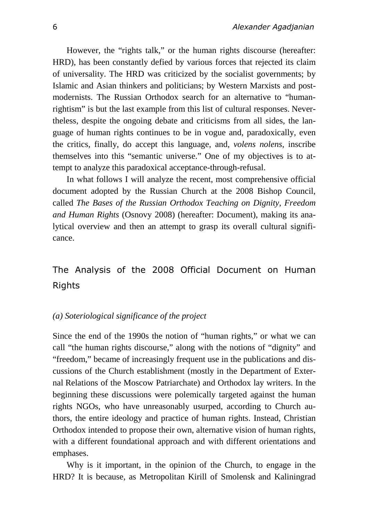However, the "rights talk," or the human rights discourse (hereafter: HRD), has been constantly defied by various forces that rejected its claim of universality. The HRD was criticized by the socialist governments; by Islamic and Asian thinkers and politicians; by Western Marxists and postmodernists. The Russian Orthodox search for an alternative to "humanrightism" is but the last example from this list of cultural responses. Nevertheless, despite the ongoing debate and criticisms from all sides, the language of human rights continues to be in vogue and, paradoxically, even the critics, finally, do accept this language, and, *volens nolens*, inscribe themselves into this "semantic universe." One of my objectives is to attempt to analyze this paradoxical acceptance-through-refusal.

In what follows I will analyze the recent, most comprehensive official document adopted by the Russian Church at the 2008 Bishop Council, called *The Bases of the Russian Orthodox Teaching on Dignity, Freedom and Human Rights* (Osnovy 2008) (hereafter: Document), making its analytical overview and then an attempt to grasp its overall cultural significance.

## The Analysis of the 2008 Official Document on Human Rights

#### *(a) Soteriological significance of the project*

Since the end of the 1990s the notion of "human rights," or what we can call "the human rights discourse," along with the notions of "dignity" and "freedom," became of increasingly frequent use in the publications and discussions of the Church establishment (mostly in the Department of External Relations of the Moscow Patriarchate) and Orthodox lay writers. In the beginning these discussions were polemically targeted against the human rights NGOs, who have unreasonably usurped, according to Church authors, the entire ideology and practice of human rights. Instead, Christian Orthodox intended to propose their own, alternative vision of human rights, with a different foundational approach and with different orientations and emphases.

Why is it important, in the opinion of the Church, to engage in the HRD? It is because, as Metropolitan Kirill of Smolensk and Kaliningrad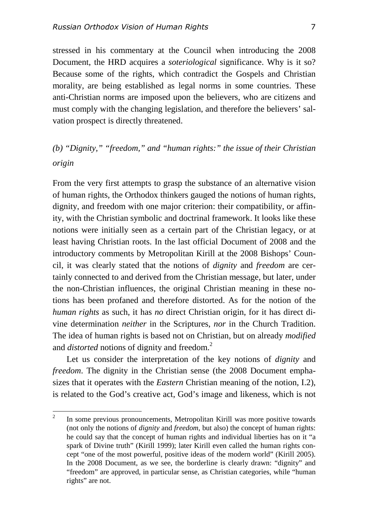stressed in his commentary at the Council when introducing the 2008 Document, the HRD acquires a *soteriological* significance. Why is it so? Because some of the rights, which contradict the Gospels and Christian morality, are being established as legal norms in some countries. These anti-Christian norms are imposed upon the believers, who are citizens and must comply with the changing legislation, and therefore the believers' salvation prospect is directly threatened.

### *(b) "Dignity," "freedom," and "human rights:" the issue of their Christian origin*

From the very first attempts to grasp the substance of an alternative vision of human rights, the Orthodox thinkers gauged the notions of human rights, dignity, and freedom with one major criterion: their compatibility, or affinity, with the Christian symbolic and doctrinal framework. It looks like these notions were initially seen as a certain part of the Christian legacy, or at least having Christian roots. In the last official Document of 2008 and the introductory comments by Metropolitan Kirill at the 2008 Bishops' Council, it was clearly stated that the notions of *dignity* and *freedom* are certainly connected to and derived from the Christian message, but later, under the non-Christian influences, the original Christian meaning in these notions has been profaned and therefore distorted. As for the notion of the *human rights* as such, it has *no* direct Christian origin, for it has direct divine determination *neither* in the Scriptures, *nor* in the Church Tradition. The idea of human rights is based not on Christian, but on already *modified* and *distorted* notions of dignity and freedom.<sup>2</sup>

Let us consider the interpretation of the key notions of *dignity* and *freedom*. The dignity in the Christian sense (the 2008 Document emphasizes that it operates with the *Eastern* Christian meaning of the notion, I.2), is related to the God's creative act, God's image and likeness, which is not

 $\overline{2}$ <sup>2</sup>In some previous pronouncements, Metropolitan Kirill was more positive towards (not only the notions of *dignity* and *freedom*, but also) the concept of human rights: he could say that the concept of human rights and individual liberties has on it "a spark of Divine truth" (Kirill 1999); later Kirill even called the human rights concept "one of the most powerful, positive ideas of the modern world" (Kirill 2005). In the 2008 Document, as we see, the borderline is clearly drawn: "dignity" and "freedom" are approved, in particular sense, as Christian categories, while "human rights" are not.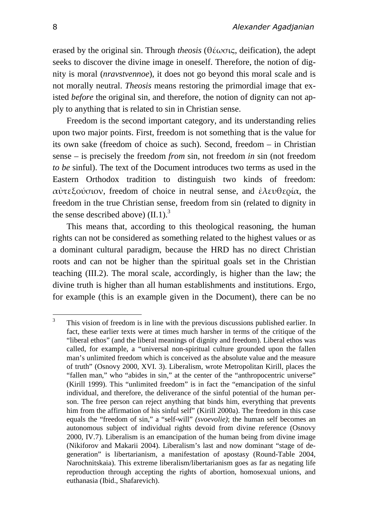erased by the original sin. Through *theosis* (θέωσις, deification), the adept seeks to discover the divine image in oneself. Therefore, the notion of dignity is moral (*nravstvennoe*), it does not go beyond this moral scale and is not morally neutral. *Theosis* means restoring the primordial image that existed *before* the original sin, and therefore, the notion of dignity can not apply to anything that is related to sin in Christian sense.

Freedom is the second important category, and its understanding relies upon two major points. First, freedom is not something that is the value for its own sake (freedom of choice as such). Second, freedom – in Christian sense – is precisely the freedom *from* sin, not freedom *in* sin (not freedom *to be* sinful). The text of the Document introduces two terms as used in the Eastern Orthodox tradition to distinguish two kinds of freedom: αὐτεξούσιον, freedom of choice in neutral sense, and ἐλευθερία, the freedom in the true Christian sense, freedom from sin (related to dignity in the sense described above)  $(II.1)$ .<sup>3</sup>

This means that, according to this theological reasoning, the human rights can not be considered as something related to the highest values or as a dominant cultural paradigm, because the HRD has no direct Christian roots and can not be higher than the spiritual goals set in the Christian teaching (III.2). The moral scale, accordingly, is higher than the law; the divine truth is higher than all human establishments and institutions. Ergo, for example (this is an example given in the Document), there can be no

 $\overline{3}$ This vision of freedom is in line with the previous discussions published earlier. In fact, these earlier texts were at times much harsher in terms of the critique of the "liberal ethos" (and the liberal meanings of dignity and freedom). Liberal ethos was called, for example, a "universal non-spiritual culture grounded upon the fallen man's unlimited freedom which is conceived as the absolute value and the measure of truth" (Osnovy 2000, XVI. 3). Liberalism, wrote Metropolitan Kirill, places the "fallen man," who "abides in sin," at the center of the "anthropocentric universe" (Kirill 1999). This "unlimited freedom" is in fact the "emancipation of the sinful individual, and therefore, the deliverance of the sinful potential of the human person. The free person can reject anything that binds him, everything that prevents him from the affirmation of his sinful self" (Kirill 2000a). The freedom in this case equals the "freedom of sin," a "self-will" *(svoevolie)*; the human self becomes an autonomous subject of individual rights devoid from divine reference (Osnovy 2000, IV.7). Liberalism is an emancipation of the human being from divine image (Nikiforov and Makarii 2004). Liberalism's last and now dominant "stage of degeneration" is libertarianism, a manifestation of apostasy (Round-Table 2004, Narochnitskaia). This extreme liberalism/libertarianism goes as far as negating life reproduction through accepting the rights of abortion, homosexual unions, and euthanasia (Ibid., Shafarevich).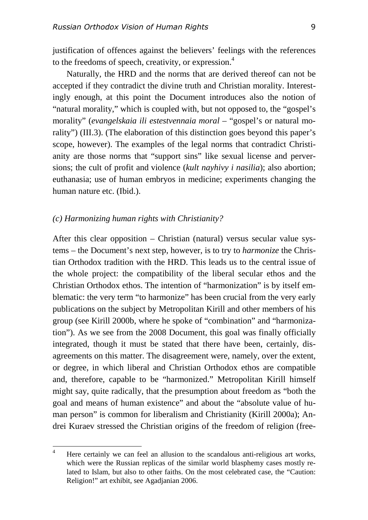justification of offences against the believers' feelings with the references to the freedoms of speech, creativity, or expression. 4

Naturally, the HRD and the norms that are derived thereof can not be accepted if they contradict the divine truth and Christian morality. Interestingly enough, at this point the Document introduces also the notion of "natural morality," which is coupled with, but not opposed to, the "gospel's morality" (*evangelskaia ili estestvennaia moral* – "gospel's or natural morality") (III.3). (The elaboration of this distinction goes beyond this paper's scope, however). The examples of the legal norms that contradict Christianity are those norms that "support sins" like sexual license and perversions; the cult of profit and violence (*kult nayhivy i nasilia*); also abortion; euthanasia; use of human embryos in medicine; experiments changing the human nature etc. (Ibid.).

#### *(c) Harmonizing human rights with Christianity?*

After this clear opposition – Christian (natural) versus secular value systems – the Document's next step, however, is to try to *harmonize* the Christian Orthodox tradition with the HRD. This leads us to the central issue of the whole project: the compatibility of the liberal secular ethos and the Christian Orthodox ethos. The intention of "harmonization" is by itself emblematic: the very term "to harmonize" has been crucial from the very early publications on the subject by Metropolitan Kirill and other members of his group (see Kirill 2000b, where he spoke of "combination" and "harmonization"). As we see from the 2008 Document, this goal was finally officially integrated, though it must be stated that there have been, certainly, disagreements on this matter. The disagreement were, namely, over the extent, or degree, in which liberal and Christian Orthodox ethos are compatible and, therefore, capable to be "harmonized." Metropolitan Kirill himself might say, quite radically, that the presumption about freedom as "both the goal and means of human existence" and about the "absolute value of human person" is common for liberalism and Christianity (Kirill 2000a); Andrei Kuraev stressed the Christian origins of the freedom of religion (free-

 $\Delta$ Here certainly we can feel an allusion to the scandalous anti-religious art works, which were the Russian replicas of the similar world blasphemy cases mostly related to Islam, but also to other faiths. On the most celebrated case, the "Caution: Religion!" art exhibit, see Agadjanian 2006.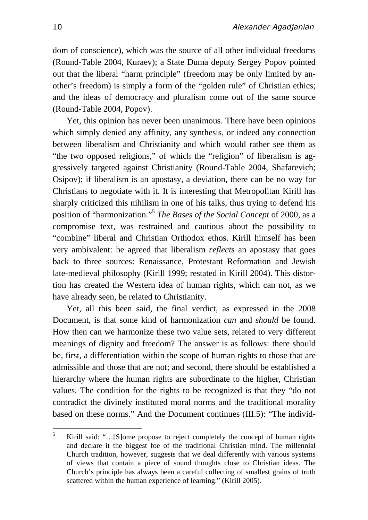dom of conscience), which was the source of all other individual freedoms (Round-Table 2004, Kuraev); a State Duma deputy Sergey Popov pointed out that the liberal "harm principle" (freedom may be only limited by another's freedom) is simply a form of the "golden rule" of Christian ethics; and the ideas of democracy and pluralism come out of the same source (Round-Table 2004, Popov).

Yet, this opinion has never been unanimous. There have been opinions which simply denied any affinity, any synthesis, or indeed any connection between liberalism and Christianity and which would rather see them as "the two opposed religions," of which the "religion" of liberalism is aggressively targeted against Christianity (Round-Table 2004, Shafarevich; Osipov); if liberalism is an apostasy, a deviation, there can be no way for Christians to negotiate with it. It is interesting that Metropolitan Kirill has sharply criticized this nihilism in one of his talks, thus trying to defend his position of "harmonization."<sup>5</sup> *The Bases of the Social Concept* of 2000, as a compromise text, was restrained and cautious about the possibility to "combine" liberal and Christian Orthodox ethos. Kirill himself has been very ambivalent: he agreed that liberalism *reflects* an apostasy that goes back to three sources: Renaissance, Protestant Reformation and Jewish late-medieval philosophy (Kirill 1999; restated in Kirill 2004). This distortion has created the Western idea of human rights, which can not, as we have already seen, be related to Christianity.

Yet, all this been said, the final verdict, as expressed in the 2008 Document, is that some kind of harmonization *can* and *should* be found. How then can we harmonize these two value sets, related to very different meanings of dignity and freedom? The answer is as follows: there should be, first, a differentiation within the scope of human rights to those that are admissible and those that are not; and second, there should be established a hierarchy where the human rights are subordinate to the higher, Christian values. The condition for the rights to be recognized is that they "do not contradict the divinely instituted moral norms and the traditional morality based on these norms." And the Document continues (III.5): "The individ-

 5 Kirill said: "…[S]ome propose to reject completely the concept of human rights and declare it the biggest foe of the traditional Christian mind. The millennial Church tradition, however, suggests that we deal differently with various systems of views that contain a piece of sound thoughts close to Christian ideas. The Church's principle has always been a careful collecting of smallest grains of truth scattered within the human experience of learning." (Kirill 2005).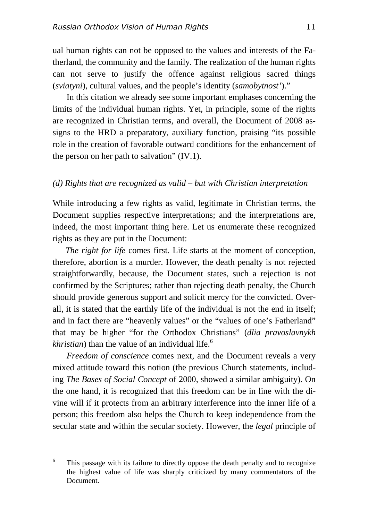ual human rights can not be opposed to the values and interests of the Fatherland, the community and the family. The realization of the human rights can not serve to justify the offence against religious sacred things (*sviatyni*), cultural values, and the people's identity (*samobytnost'*)."

In this citation we already see some important emphases concerning the limits of the individual human rights. Yet, in principle, some of the rights are recognized in Christian terms, and overall, the Document of 2008 assigns to the HRD a preparatory, auxiliary function, praising "its possible role in the creation of favorable outward conditions for the enhancement of the person on her path to salvation" (IV.1).

#### *(d) Rights that are recognized as valid – but with Christian interpretation*

While introducing a few rights as valid, legitimate in Christian terms, the Document supplies respective interpretations; and the interpretations are, indeed, the most important thing here. Let us enumerate these recognized rights as they are put in the Document:

 *The right for life* comes first. Life starts at the moment of conception, therefore, abortion is a murder. However, the death penalty is not rejected straightforwardly, because, the Document states, such a rejection is not confirmed by the Scriptures; rather than rejecting death penalty, the Church should provide generous support and solicit mercy for the convicted. Overall, it is stated that the earthly life of the individual is not the end in itself; and in fact there are "heavenly values" or the "values of one's Fatherland" that may be higher "for the Orthodox Christians" (*dlia pravoslavnykh*   $\kappa$ *khristian*) than the value of an individual life.<sup>6</sup>

*Freedom of conscience* comes next, and the Document reveals a very mixed attitude toward this notion (the previous Church statements, including *The Bases of Social Concept* of 2000, showed a similar ambiguity). On the one hand, it is recognized that this freedom can be in line with the divine will if it protects from an arbitrary interference into the inner life of a person; this freedom also helps the Church to keep independence from the secular state and within the secular society. However, the *legal* principle of

<sup>6</sup> This passage with its failure to directly oppose the death penalty and to recognize the highest value of life was sharply criticized by many commentators of the Document.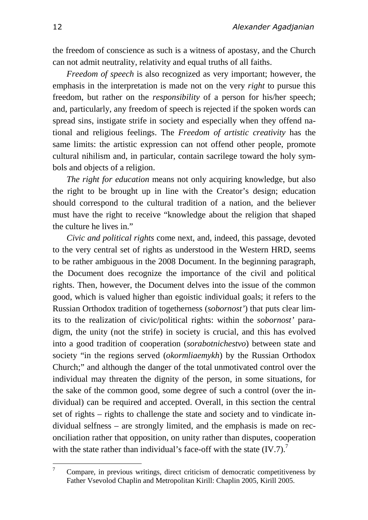the freedom of conscience as such is a witness of apostasy, and the Church can not admit neutrality, relativity and equal truths of all faiths.

*Freedom of speech* is also recognized as very important; however, the emphasis in the interpretation is made not on the very *right* to pursue this freedom, but rather on the *responsibility* of a person for his/her speech; and, particularly, any freedom of speech is rejected if the spoken words can spread sins, instigate strife in society and especially when they offend national and religious feelings. The *Freedom of artistic creativity* has the same limits: the artistic expression can not offend other people, promote cultural nihilism and, in particular, contain sacrilege toward the holy symbols and objects of a religion.

*The right for education* means not only acquiring knowledge, but also the right to be brought up in line with the Creator's design; education should correspond to the cultural tradition of a nation, and the believer must have the right to receive "knowledge about the religion that shaped the culture he lives in."

*Civic and political rights* come next, and, indeed, this passage, devoted to the very central set of rights as understood in the Western HRD, seems to be rather ambiguous in the 2008 Document. In the beginning paragraph, the Document does recognize the importance of the civil and political rights. Then, however, the Document delves into the issue of the common good, which is valued higher than egoistic individual goals; it refers to the Russian Orthodox tradition of togetherness (*sobornost'*) that puts clear limits to the realization of civic/political rights: within the *sobornost'* paradigm, the unity (not the strife) in society is crucial, and this has evolved into a good tradition of cooperation (*sorabotnichestvo*) between state and society "in the regions served (*okormliaemykh*) by the Russian Orthodox Church;" and although the danger of the total unmotivated control over the individual may threaten the dignity of the person, in some situations, for the sake of the common good, some degree of such a control (over the individual) can be required and accepted. Overall, in this section the central set of rights – rights to challenge the state and society and to vindicate individual selfness – are strongly limited, and the emphasis is made on reconciliation rather that opposition, on unity rather than disputes, cooperation with the state rather than individual's face-off with the state  $(IV.7)$ .<sup>7</sup>

 $\overline{7}$ <sup>7</sup>Compare, in previous writings, direct criticism of democratic competitiveness by Father Vsevolod Chaplin and Metropolitan Kirill: Chaplin 2005, Kirill 2005.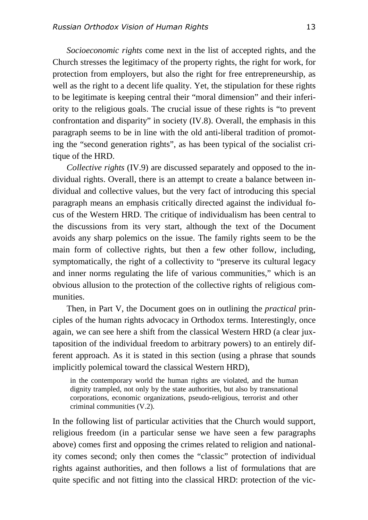*Socioeconomic rights* come next in the list of accepted rights, and the Church stresses the legitimacy of the property rights, the right for work, for protection from employers, but also the right for free entrepreneurship, as well as the right to a decent life quality. Yet, the stipulation for these rights to be legitimate is keeping central their "moral dimension" and their inferiority to the religious goals. The crucial issue of these rights is "to prevent confrontation and disparity" in society (IV.8). Overall, the emphasis in this paragraph seems to be in line with the old anti-liberal tradition of promoting the "second generation rights", as has been typical of the socialist critique of the HRD.

*Collective rights* (IV.9) are discussed separately and opposed to the individual rights. Overall, there is an attempt to create a balance between individual and collective values, but the very fact of introducing this special paragraph means an emphasis critically directed against the individual focus of the Western HRD. The critique of individualism has been central to the discussions from its very start, although the text of the Document avoids any sharp polemics on the issue. The family rights seem to be the main form of collective rights, but then a few other follow, including, symptomatically, the right of a collectivity to "preserve its cultural legacy and inner norms regulating the life of various communities," which is an obvious allusion to the protection of the collective rights of religious communities.

Then, in Part V, the Document goes on in outlining the *practical* principles of the human rights advocacy in Orthodox terms. Interestingly, once again, we can see here a shift from the classical Western HRD (a clear juxtaposition of the individual freedom to arbitrary powers) to an entirely different approach. As it is stated in this section (using a phrase that sounds implicitly polemical toward the classical Western HRD),

in the contemporary world the human rights are violated, and the human dignity trampled, not only by the state authorities, but also by transnational corporations, economic organizations, pseudo-religious, terrorist and other criminal communities (V.2).

In the following list of particular activities that the Church would support, religious freedom (in a particular sense we have seen a few paragraphs above) comes first and opposing the crimes related to religion and nationality comes second; only then comes the "classic" protection of individual rights against authorities, and then follows a list of formulations that are quite specific and not fitting into the classical HRD: protection of the vic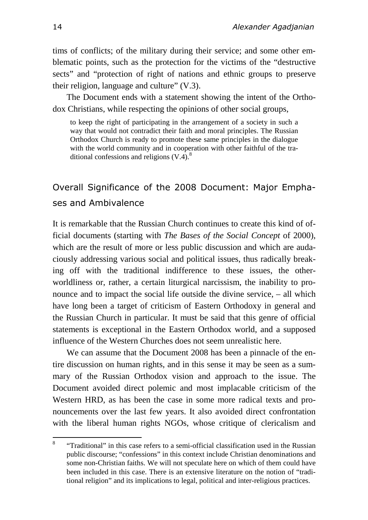tims of conflicts; of the military during their service; and some other emblematic points, such as the protection for the victims of the "destructive sects" and "protection of right of nations and ethnic groups to preserve their religion, language and culture" (V.3).

The Document ends with a statement showing the intent of the Orthodox Christians, while respecting the opinions of other social groups,

to keep the right of participating in the arrangement of a society in such a way that would not contradict their faith and moral principles. The Russian Orthodox Church is ready to promote these same principles in the dialogue with the world community and in cooperation with other faithful of the traditional confessions and religions  $(V.4)$ .<sup>8</sup>

# Overall Significance of the 2008 Document: Major Emphases and Ambivalence

It is remarkable that the Russian Church continues to create this kind of official documents (starting with *The Bases of the Social Concept* of 2000), which are the result of more or less public discussion and which are audaciously addressing various social and political issues, thus radically breaking off with the traditional indifference to these issues, the otherworldliness or, rather, a certain liturgical narcissism, the inability to pronounce and to impact the social life outside the divine service, – all which have long been a target of criticism of Eastern Orthodoxy in general and the Russian Church in particular. It must be said that this genre of official statements is exceptional in the Eastern Orthodox world, and a supposed influence of the Western Churches does not seem unrealistic here.

We can assume that the Document 2008 has been a pinnacle of the entire discussion on human rights, and in this sense it may be seen as a summary of the Russian Orthodox vision and approach to the issue. The Document avoided direct polemic and most implacable criticism of the Western HRD, as has been the case in some more radical texts and pronouncements over the last few years. It also avoided direct confrontation with the liberal human rights NGOs, whose critique of clericalism and

 $\mathbf{R}$ <sup>8</sup>"Traditional" in this case refers to a semi-official classification used in the Russian public discourse; "confessions" in this context include Christian denominations and some non-Christian faiths. We will not speculate here on which of them could have been included in this case. There is an extensive literature on the notion of "traditional religion" and its implications to legal, political and inter-religious practices.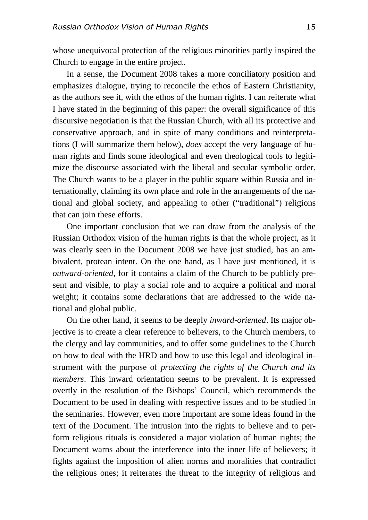whose unequivocal protection of the religious minorities partly inspired the Church to engage in the entire project.

In a sense, the Document 2008 takes a more conciliatory position and emphasizes dialogue, trying to reconcile the ethos of Eastern Christianity, as the authors see it, with the ethos of the human rights. I can reiterate what I have stated in the beginning of this paper: the overall significance of this discursive negotiation is that the Russian Church, with all its protective and conservative approach, and in spite of many conditions and reinterpretations (I will summarize them below), *does* accept the very language of human rights and finds some ideological and even theological tools to legitimize the discourse associated with the liberal and secular symbolic order. The Church wants to be a player in the public square within Russia and internationally, claiming its own place and role in the arrangements of the national and global society, and appealing to other ("traditional") religions that can join these efforts.

One important conclusion that we can draw from the analysis of the Russian Orthodox vision of the human rights is that the whole project, as it was clearly seen in the Document 2008 we have just studied, has an ambivalent, protean intent. On the one hand, as I have just mentioned, it is *outward-oriented*, for it contains a claim of the Church to be publicly present and visible, to play a social role and to acquire a political and moral weight; it contains some declarations that are addressed to the wide national and global public.

On the other hand, it seems to be deeply *inward-oriented*. Its major objective is to create a clear reference to believers, to the Church members, to the clergy and lay communities, and to offer some guidelines to the Church on how to deal with the HRD and how to use this legal and ideological instrument with the purpose of *protecting the rights of the Church and its members*. This inward orientation seems to be prevalent. It is expressed overtly in the resolution of the Bishops' Council, which recommends the Document to be used in dealing with respective issues and to be studied in the seminaries. However, even more important are some ideas found in the text of the Document. The intrusion into the rights to believe and to perform religious rituals is considered a major violation of human rights; the Document warns about the interference into the inner life of believers; it fights against the imposition of alien norms and moralities that contradict the religious ones; it reiterates the threat to the integrity of religious and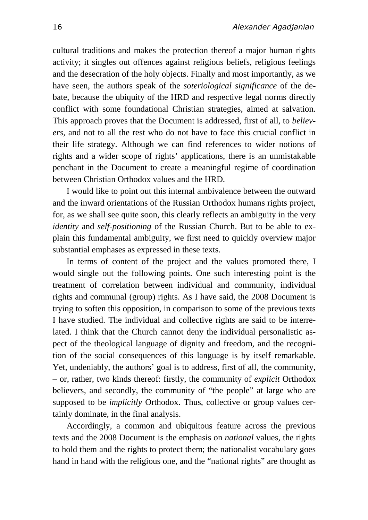cultural traditions and makes the protection thereof a major human rights activity; it singles out offences against religious beliefs, religious feelings and the desecration of the holy objects. Finally and most importantly, as we have seen, the authors speak of the *soteriological significance* of the debate, because the ubiquity of the HRD and respective legal norms directly conflict with some foundational Christian strategies, aimed at salvation. This approach proves that the Document is addressed, first of all, to *believers*, and not to all the rest who do not have to face this crucial conflict in their life strategy. Although we can find references to wider notions of rights and a wider scope of rights' applications, there is an unmistakable penchant in the Document to create a meaningful regime of coordination between Christian Orthodox values and the HRD.

I would like to point out this internal ambivalence between the outward and the inward orientations of the Russian Orthodox humans rights project, for, as we shall see quite soon, this clearly reflects an ambiguity in the very *identity* and *self-positioning* of the Russian Church. But to be able to explain this fundamental ambiguity, we first need to quickly overview major substantial emphases as expressed in these texts.

In terms of content of the project and the values promoted there, I would single out the following points. One such interesting point is the treatment of correlation between individual and community, individual rights and communal (group) rights. As I have said, the 2008 Document is trying to soften this opposition, in comparison to some of the previous texts I have studied. The individual and collective rights are said to be interrelated. I think that the Church cannot deny the individual personalistic aspect of the theological language of dignity and freedom, and the recognition of the social consequences of this language is by itself remarkable. Yet, undeniably, the authors' goal is to address, first of all, the community, – or, rather, two kinds thereof: firstly, the community of *explicit* Orthodox believers, and secondly, the community of "the people" at large who are supposed to be *implicitly* Orthodox. Thus, collective or group values certainly dominate, in the final analysis.

Accordingly, a common and ubiquitous feature across the previous texts and the 2008 Document is the emphasis on *national* values, the rights to hold them and the rights to protect them; the nationalist vocabulary goes hand in hand with the religious one, and the "national rights" are thought as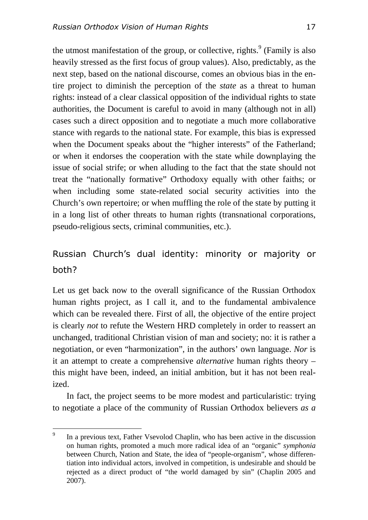the utmost manifestation of the group, or collective, rights.  $9$  (Family is also heavily stressed as the first focus of group values). Also, predictably, as the next step, based on the national discourse, comes an obvious bias in the entire project to diminish the perception of the *state* as a threat to human rights: instead of a clear classical opposition of the individual rights to state authorities, the Document is careful to avoid in many (although not in all) cases such a direct opposition and to negotiate a much more collaborative stance with regards to the national state. For example, this bias is expressed when the Document speaks about the "higher interests" of the Fatherland; or when it endorses the cooperation with the state while downplaying the issue of social strife; or when alluding to the fact that the state should not treat the "nationally formative" Orthodoxy equally with other faiths; or when including some state-related social security activities into the Church's own repertoire; or when muffling the role of the state by putting it in a long list of other threats to human rights (transnational corporations, pseudo-religious sects, criminal communities, etc.).

## Russian Church's dual identity: minority or majority or both?

Let us get back now to the overall significance of the Russian Orthodox human rights project, as I call it, and to the fundamental ambivalence which can be revealed there. First of all, the objective of the entire project is clearly *not* to refute the Western HRD completely in order to reassert an unchanged, traditional Christian vision of man and society; no: it is rather a negotiation, or even "harmonization", in the authors' own language. *Nor* is it an attempt to create a comprehensive *alternative* human rights theory – this might have been, indeed, an initial ambition, but it has not been realized.

In fact, the project seems to be more modest and particularistic: trying to negotiate a place of the community of Russian Orthodox believers *as a* 

 $\overline{9}$ In a previous text, Father Vsevolod Chaplin, who has been active in the discussion on human rights, promoted a much more radical idea of an "organic" *symphonia* between Church, Nation and State, the idea of "people-organism", whose differentiation into individual actors, involved in competition, is undesirable and should be rejected as a direct product of "the world damaged by sin" (Chaplin 2005 and 2007).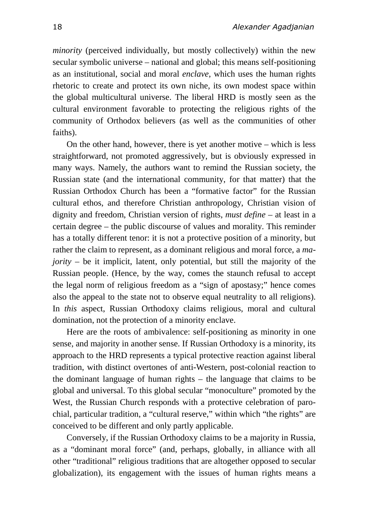*minority* (perceived individually, but mostly collectively) within the new secular symbolic universe – national and global; this means self-positioning as an institutional, social and moral *enclave*, which uses the human rights rhetoric to create and protect its own niche, its own modest space within the global multicultural universe. The liberal HRD is mostly seen as the cultural environment favorable to protecting the religious rights of the community of Orthodox believers (as well as the communities of other faiths).

On the other hand, however, there is yet another motive – which is less straightforward, not promoted aggressively, but is obviously expressed in many ways. Namely, the authors want to remind the Russian society, the Russian state (and the international community, for that matter) that the Russian Orthodox Church has been a "formative factor" for the Russian cultural ethos, and therefore Christian anthropology, Christian vision of dignity and freedom, Christian version of rights, *must define* – at least in a certain degree – the public discourse of values and morality. This reminder has a totally different tenor: it is not a protective position of a minority, but rather the claim to represent, as a dominant religious and moral force, a *majority –* be it implicit, latent, only potential, but still the majority of the Russian people. (Hence, by the way, comes the staunch refusal to accept the legal norm of religious freedom as a "sign of apostasy;" hence comes also the appeal to the state not to observe equal neutrality to all religions). In *this* aspect, Russian Orthodoxy claims religious, moral and cultural domination, not the protection of a minority enclave.

Here are the roots of ambivalence: self-positioning as minority in one sense, and majority in another sense. If Russian Orthodoxy is a minority, its approach to the HRD represents a typical protective reaction against liberal tradition, with distinct overtones of anti-Western, post-colonial reaction to the dominant language of human rights – the language that claims to be global and universal. To this global secular "monoculture" promoted by the West, the Russian Church responds with a protective celebration of parochial, particular tradition, a "cultural reserve," within which "the rights" are conceived to be different and only partly applicable.

Conversely, if the Russian Orthodoxy claims to be a majority in Russia, as a "dominant moral force" (and, perhaps, globally, in alliance with all other "traditional" religious traditions that are altogether opposed to secular globalization), its engagement with the issues of human rights means a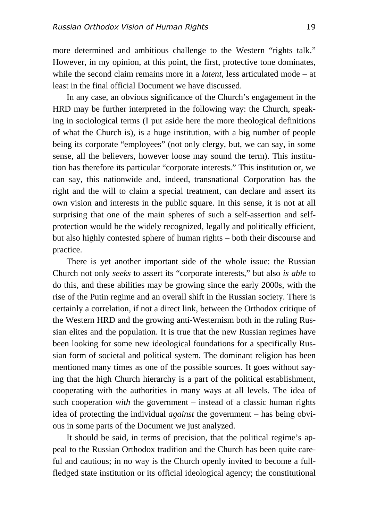more determined and ambitious challenge to the Western "rights talk." However, in my opinion, at this point, the first, protective tone dominates, while the second claim remains more in a *latent*, less articulated mode – at least in the final official Document we have discussed.

In any case, an obvious significance of the Church's engagement in the HRD may be further interpreted in the following way: the Church, speaking in sociological terms (I put aside here the more theological definitions of what the Church is), is a huge institution, with a big number of people being its corporate "employees" (not only clergy, but, we can say, in some sense, all the believers, however loose may sound the term). This institution has therefore its particular "corporate interests." This institution or, we can say, this nationwide and, indeed, transnational Corporation has the right and the will to claim a special treatment, can declare and assert its own vision and interests in the public square. In this sense, it is not at all surprising that one of the main spheres of such a self-assertion and selfprotection would be the widely recognized, legally and politically efficient, but also highly contested sphere of human rights – both their discourse and practice.

There is yet another important side of the whole issue: the Russian Church not only *seeks* to assert its "corporate interests," but also *is able* to do this, and these abilities may be growing since the early 2000s, with the rise of the Putin regime and an overall shift in the Russian society. There is certainly a correlation, if not a direct link, between the Orthodox critique of the Western HRD and the growing anti-Westernism both in the ruling Russian elites and the population. It is true that the new Russian regimes have been looking for some new ideological foundations for a specifically Russian form of societal and political system. The dominant religion has been mentioned many times as one of the possible sources. It goes without saying that the high Church hierarchy is a part of the political establishment, cooperating with the authorities in many ways at all levels. The idea of such cooperation *with* the government – instead of a classic human rights idea of protecting the individual *against* the government – has being obvious in some parts of the Document we just analyzed.

It should be said, in terms of precision, that the political regime's appeal to the Russian Orthodox tradition and the Church has been quite careful and cautious; in no way is the Church openly invited to become a fullfledged state institution or its official ideological agency; the constitutional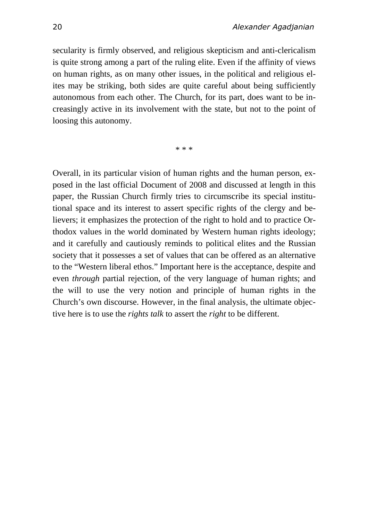secularity is firmly observed, and religious skepticism and anti-clericalism is quite strong among a part of the ruling elite. Even if the affinity of views on human rights, as on many other issues, in the political and religious elites may be striking, both sides are quite careful about being sufficiently autonomous from each other. The Church, for its part, does want to be increasingly active in its involvement with the state, but not to the point of loosing this autonomy.

\* \* \*

Overall, in its particular vision of human rights and the human person, exposed in the last official Document of 2008 and discussed at length in this paper, the Russian Church firmly tries to circumscribe its special institutional space and its interest to assert specific rights of the clergy and believers; it emphasizes the protection of the right to hold and to practice Orthodox values in the world dominated by Western human rights ideology; and it carefully and cautiously reminds to political elites and the Russian society that it possesses a set of values that can be offered as an alternative to the "Western liberal ethos." Important here is the acceptance, despite and even *through* partial rejection, of the very language of human rights; and the will to use the very notion and principle of human rights in the Church's own discourse. However, in the final analysis, the ultimate objective here is to use the *rights talk* to assert the *right* to be different.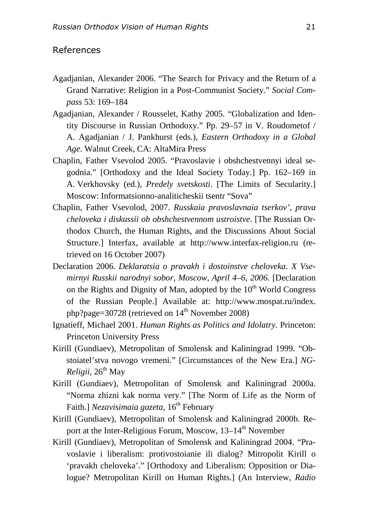#### References

- Agadjanian, Alexander 2006. "The Search for Privacy and the Return of a Grand Narrative: Religion in a Post-Communist Society." *Social Compass* 53: 169–184
- Agadjanian, Alexander / Rousselet, Kathy 2005. "Globalization and Identity Discourse in Russian Orthodoxy." Pp. 29–57 in V. Roudometof / A. Agadjanian / J. Pankhurst (eds.), *Eastern Orthodoxy in a Global Age*. Walnut Creek, CA: AltaMira Press
- Chaplin, Father Vsevolod 2005. "Pravoslavie i obshchestvennyi ideal segodnia." [Orthodoxy and the Ideal Society Today.] Pp. 162–169 in A. Verkhovsky (ed.), *Predely svetskosti*. [The Limits of Secularity.] Moscow: Informatsionno-analiticheskii tsentr "Sova"
- Chaplin, Father Vsevolod, 2007. *Russkaia pravoslavnaia tserkov', prava cheloveka i diskussii ob obshchestvennom ustroistve*. [The Russian Orthodox Church, the Human Rights, and the Discussions About Social Structure.] Interfax, available at http://www.interfax-religion.ru (retrieved on 16 October 2007)
- Declaration 2006. *Deklaratsia o pravakh i dostoinstve cheloveka*. *X Vsemirnyi Russkii narodnyi sobor, Moscow, April 4–6, 2006.* [Declaration on the Rights and Dignity of Man, adopted by the  $10<sup>th</sup>$  World Congress of the Russian People.] Available at: http://www.mospat.ru/index. php?page=30728 (retrieved on  $14<sup>th</sup>$  November 2008)
- Ignatieff, Michael 2001. *Human Rights as Politics and Idolatry.* Princeton: Princeton University Press
- Kirill (Gundiaev), Metropolitan of Smolensk and Kaliningrad 1999. "Obstoiatel'stva novogo vremeni." [Circumstances of the New Era.] *NG-Religii*, 26<sup>th</sup> May
- Kirill (Gundiaev), Metropolitan of Smolensk and Kaliningrad 2000a. "Norma zhizni kak norma very." [The Norm of Life as the Norm of Faith.] *Nezavisimaia gazeta*, 16<sup>th</sup> February
- Kirill (Gundiaev), Metropolitan of Smolensk and Kaliningrad 2000b. Report at the Inter-Religious Forum, Moscow, 13–14<sup>th</sup> November
- Kirill (Gundiaev), Metropolitan of Smolensk and Kaliningrad 2004. "Pravoslavie i liberalism: protivostoianie ili dialog? Mitropolit Kirill o 'pravakh cheloveka'." [Orthodoxy and Liberalism: Opposition or Dialogue? Metropolitan Kirill on Human Rights.] (An Interview, *Radio*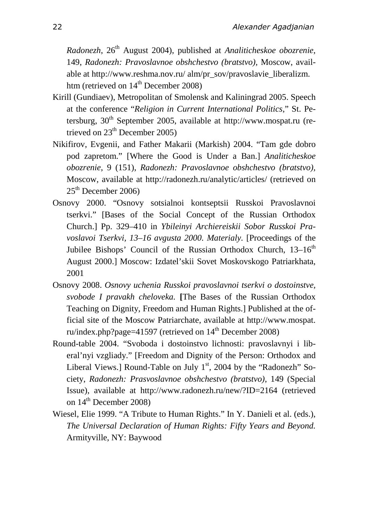*Radonezh*, 26th August 2004), published at *Analiticheskoe obozrenie*, 149, *Radonezh: Pravoslavnoe obshchestvo (bratstvo),* Moscow, available at http://www.reshma.nov.ru/ alm/pr\_sov/pravoslavie\_liberalizm. htm (retrieved on  $14<sup>th</sup>$  December 2008)

- Kirill (Gundiaev), Metropolitan of Smolensk and Kaliningrad 2005. Speech at the conference "*Religion in Current International Politics*," St. Petersburg,  $30<sup>th</sup>$  September 2005, available at http://www.mospat.ru (retrieved on  $23<sup>th</sup>$  December 2005)
- Nikifirov, Evgenii, and Father Makarii (Markish) 2004. "Tam gde dobro pod zapretom." [Where the Good is Under a Ban.] *Analiticheskoe obozrenie*, 9 (151), *Radonezh: Pravoslavnoe obshchestvo (bratstvo),*  Moscow, available at http://radonezh.ru/analytic/articles/ (retrieved on  $25<sup>th</sup>$  December 2006)
- Osnovy 2000. "Osnovy sotsialnoi kontseptsii Russkoi Pravoslavnoi tserkvi." [Bases of the Social Concept of the Russian Orthodox Church.] Pp. 329–410 in *Ybileinyi Archiereiskii Sobor Russkoi Pravoslavoi Tserkvi, 13–16 avgusta 2000. Materialy.* [Proceedings of the Jubilee Bishops' Council of the Russian Orthodox Church, 13-16<sup>th</sup> August 2000.] Moscow: Izdatel'skii Sovet Moskovskogo Patriarkhata, 2001
- Osnovy 2008. *Osnovy uchenia Russkoi pravoslavnoi tserkvi o dostoinstve, svobode I pravakh cheloveka.* **[**The Bases of the Russian Orthodox Teaching on Dignity, Freedom and Human Rights.] Published at the official site of the Moscow Patriarchate, available at http://www.mospat. ru/index.php?page=41597 (retrieved on  $14<sup>th</sup>$  December 2008)
- Round-table 2004. "Svoboda i dostoinstvo lichnosti: pravoslavnyi i liberal'nyi vzgliady." [Freedom and Dignity of the Person: Orthodox and Liberal Views.] Round-Table on July 1<sup>st</sup>, 2004 by the "Radonezh" Society, *Radonezh: Prasvoslavnoe obshchestvo (bratstvo)*, 149 (Special Issue), available at http://www.radonezh.ru/new/?ID=2164 (retrieved on  $14^{\text{th}}$  December 2008)
- Wiesel, Elie 1999. "A Tribute to Human Rights." In Y. Danieli et al. (eds.), *The Universal Declaration of Human Rights: Fifty Years and Beyond.* Armityville, NY: Baywood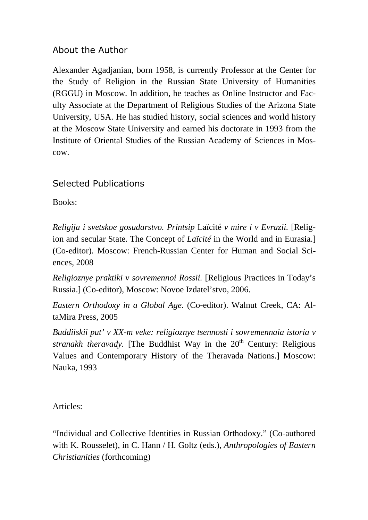### About the Author

Alexander Agadjanian, born 1958, is currently Professor at the Center for the Study of Religion in the Russian State University of Humanities (RGGU) in Moscow. In addition, he teaches as Online Instructor and Faculty Associate at the Department of Religious Studies of the Arizona State University, USA. He has studied history, social sciences and world history at the Moscow State University and earned his doctorate in 1993 from the Institute of Oriental Studies of the Russian Academy of Sciences in Moscow.

### Selected Publications

Books:

*Religija i svetskoe gosudarstvo. Printsip* Laïcité *v mire i v Evrazii.* [Religion and secular State. The Concept of *Laïcité* in the World and in Eurasia.] (Co-editor)*.* Moscow: French-Russian Center for Human and Social Sciences, 2008

*Religioznye praktiki v sovremennoi Rossii.* [Religious Practices in Today's Russia.] (Co-editor), Moscow: Novoe Izdatel'stvo, 2006.

*Eastern Orthodoxy in a Global Age.* (Co-editor). Walnut Creek, CA: AltaMira Press, 2005

*Buddiiskii put' v XX-m veke: religioznye tsennosti i sovremennaia istoria v stranakh theravady.* [The Buddhist Way in the 20<sup>th</sup> Century: Religious Values and Contemporary History of the Theravada Nations.] Moscow: Nauka, 1993

Articles:

"Individual and Collective Identities in Russian Orthodoxy." (Co-authored with K. Rousselet), in C. Hann / H. Goltz (eds.), *Anthropologies of Eastern Christianities* (forthcoming)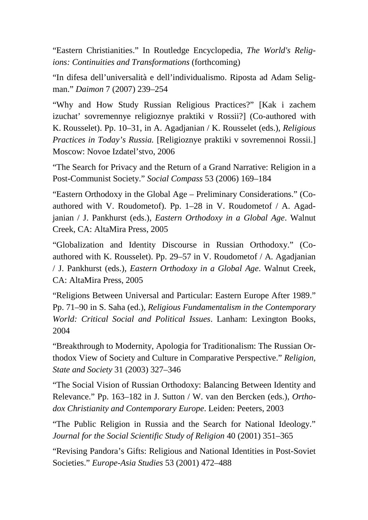"Eastern Christianities." In Routledge Encyclopedia, *The World's Religions: Continuities and Transformations* (forthcoming)

"In difesa dell'universalità e dell'individualismo. Riposta ad Adam Seligman." *Daimon* 7 (2007) 239–254

"Why and How Study Russian Religious Practices?" [Kak i zachem izuchat' sovremennye religioznye praktiki v Rossii?] (Co-authored with K. Rousselet). Pp. 10–31, in A. Agadjanian / K. Rousselet (eds.), *Religious Practices in Today's Russia.* [Religioznye praktiki v sovremennoi Rossii.] Moscow: Novoe Izdatel'stvo, 2006

"The Search for Privacy and the Return of a Grand Narrative: Religion in a Post-Communist Society." *Social Compass* 53 (2006) 169–184

"Eastern Orthodoxy in the Global Age – Preliminary Considerations." (Coauthored with V. Roudometof). Pp. 1–28 in V. Roudometof / A. Agadjanian / J. Pankhurst (eds.), *Eastern Orthodoxy in a Global Age*. Walnut Creek, CA: AltaMira Press, 2005

"Globalization and Identity Discourse in Russian Orthodoxy." (Coauthored with K. Rousselet). Pp. 29–57 in V. Roudometof / A. Agadjanian / J. Pankhurst (eds.), *Eastern Orthodoxy in a Global Age*. Walnut Creek, CA: AltaMira Press, 2005

"Religions Between Universal and Particular: Eastern Europe After 1989." Pp. 71–90 in S. Saha (ed.), *Religious Fundamentalism in the Contemporary World: Critical Social and Political Issues*. Lanham: Lexington Books, 2004

"Breakthrough to Modernity, Apologia for Traditionalism: The Russian Orthodox View of Society and Culture in Comparative Perspective." *Religion, State and Society* 31 (2003) 327–346

"The Social Vision of Russian Orthodoxy: Balancing Between Identity and Relevance." Pp. 163–182 in J. Sutton / W. van den Bercken (eds.), *Orthodox Christianity and Contemporary Europe*. Leiden: Peeters, 2003

"The Public Religion in Russia and the Search for National Ideology." *Journal for the Social Scientific Study of Religion* 40 (2001) 351–365

"Revising Pandora's Gifts: Religious and National Identities in Post-Soviet Societies." *Europe-Asia Studies* 53 (2001) 472–488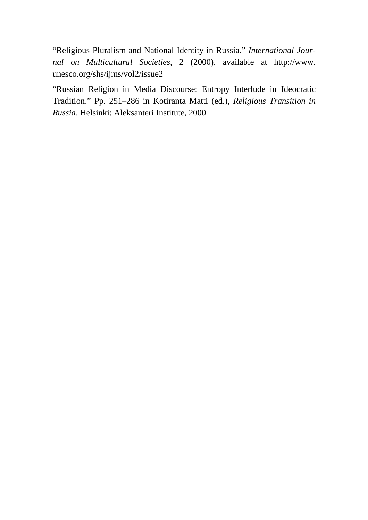"Religious Pluralism and National Identity in Russia." *International Journal on Multicultural Societies*, 2 (2000), available at http://www. unesco.org/shs/ijms/vol2/issue2

"Russian Religion in Media Discourse: Entropy Interlude in Ideocratic Tradition." Pp. 251–286 in Kotiranta Matti (ed.), *Religious Transition in Russia*. Helsinki: Aleksanteri Institute, 2000